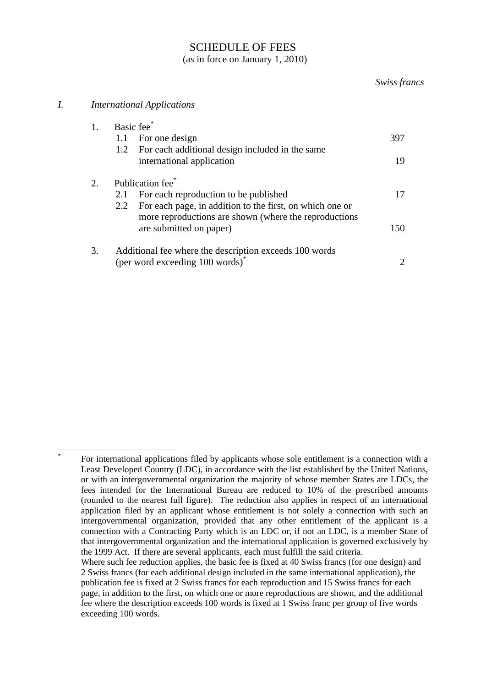## SCHEDULE OF FEES (as in force on January 1, 2010)

## *Swiss francs*

## *I. International Applications*

|    | Basic fee*                                                      |                             |
|----|-----------------------------------------------------------------|-----------------------------|
|    | For one design<br>1.1                                           | 397                         |
|    | For each additional design included in the same<br>1.2          |                             |
|    | international application                                       | 19                          |
| 2. | Publication fee <sup>*</sup>                                    |                             |
|    | For each reproduction to be published<br>2.1                    | 17                          |
|    | For each page, in addition to the first, on which one or<br>2.2 |                             |
|    | more reproductions are shown (where the reproductions           |                             |
|    | are submitted on paper)                                         | 150                         |
| 3. | Additional fee where the description exceeds 100 words          |                             |
|    | (per word exceeding 100 words) <sup>*</sup>                     | $\mathcal{D}_{\mathcal{L}}$ |

<sup>1</sup> \* For international applications filed by applicants whose sole entitlement is a connection with a Least Developed Country (LDC), in accordance with the list established by the United Nations, or with an intergovernmental organization the majority of whose member States are LDCs, the fees intended for the International Bureau are reduced to 10% of the prescribed amounts (rounded to the nearest full figure). The reduction also applies in respect of an international application filed by an applicant whose entitlement is not solely a connection with such an intergovernmental organization, provided that any other entitlement of the applicant is a connection with a Contracting Party which is an LDC or, if not an LDC, is a member State of that intergovernmental organization and the international application is governed exclusively by the 1999 Act. If there are several applicants, each must fulfill the said criteria.

Where such fee reduction applies, the basic fee is fixed at 40 Swiss francs (for one design) and 2 Swiss francs (for each additional design included in the same international application), the publication fee is fixed at 2 Swiss francs for each reproduction and 15 Swiss francs for each page, in addition to the first, on which one or more reproductions are shown, and the additional fee where the description exceeds 100 words is fixed at 1 Swiss franc per group of five words exceeding 100 words.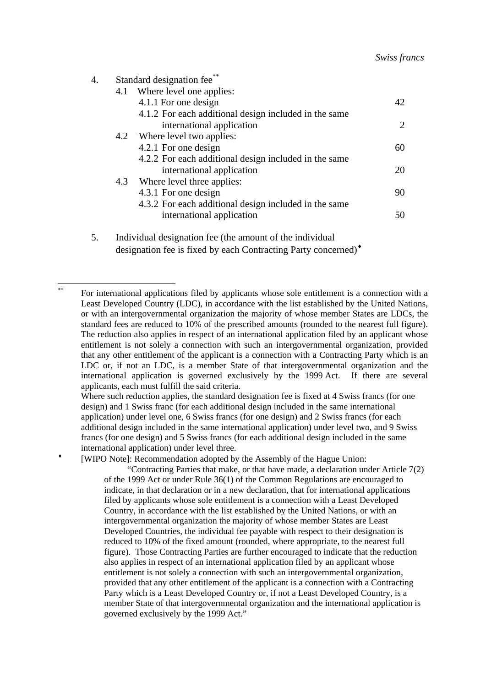| 4. |     | Standard designation fee**                            |    |
|----|-----|-------------------------------------------------------|----|
|    |     | 4.1 Where level one applies:                          |    |
|    |     | 4.1.1 For one design                                  | 42 |
|    |     | 4.1.2 For each additional design included in the same |    |
|    |     | international application                             | 2  |
|    |     | 4.2 Where level two applies:                          |    |
|    |     | 4.2.1 For one design                                  | 60 |
|    |     | 4.2.2 For each additional design included in the same |    |
|    |     | international application                             | 20 |
|    | 4.3 | Where level three applies:                            |    |
|    |     | 4.3.1 For one design                                  | 90 |
|    |     | 4.3.2 For each additional design included in the same |    |
|    |     | international application                             | 50 |
|    |     |                                                       |    |

5. Individual designation fee (the amount of the individual designation fee is fixed by each Contracting Party concerned)♦

1

Where such reduction applies, the standard designation fee is fixed at 4 Swiss francs (for one design) and 1 Swiss franc (for each additional design included in the same international application) under level one, 6 Swiss francs (for one design) and 2 Swiss francs (for each additional design included in the same international application) under level two, and 9 Swiss francs (for one design) and 5 Swiss francs (for each additional design included in the same international application) under level three.

[WIPO Note]: Recommendation adopted by the Assembly of the Hague Union:

"Contracting Parties that make, or that have made, a declaration under Article 7(2) of the 1999 Act or under Rule 36(1) of the Common Regulations are encouraged to indicate, in that declaration or in a new declaration, that for international applications filed by applicants whose sole entitlement is a connection with a Least Developed Country, in accordance with the list established by the United Nations, or with an intergovernmental organization the majority of whose member States are Least Developed Countries, the individual fee payable with respect to their designation is reduced to 10% of the fixed amount (rounded, where appropriate, to the nearest full figure). Those Contracting Parties are further encouraged to indicate that the reduction also applies in respect of an international application filed by an applicant whose entitlement is not solely a connection with such an intergovernmental organization, provided that any other entitlement of the applicant is a connection with a Contracting Party which is a Least Developed Country or, if not a Least Developed Country, is a member State of that intergovernmental organization and the international application is governed exclusively by the 1999 Act."

For international applications filed by applicants whose sole entitlement is a connection with a Least Developed Country (LDC), in accordance with the list established by the United Nations, or with an intergovernmental organization the majority of whose member States are LDCs, the standard fees are reduced to 10% of the prescribed amounts (rounded to the nearest full figure). The reduction also applies in respect of an international application filed by an applicant whose entitlement is not solely a connection with such an intergovernmental organization, provided that any other entitlement of the applicant is a connection with a Contracting Party which is an LDC or, if not an LDC, is a member State of that intergovernmental organization and the international application is governed exclusively by the 1999 Act. If there are several applicants, each must fulfill the said criteria.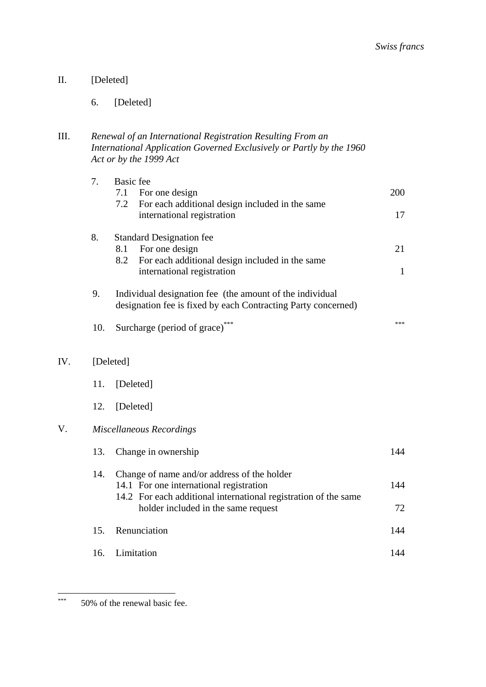$IV.$ 

6. [Deleted]

| Ш. | Renewal of an International Registration Resulting From an           |
|----|----------------------------------------------------------------------|
|    | International Application Governed Exclusively or Partly by the 1960 |
|    | Act or by the 1999 Act                                               |

|     | 7.  | <b>Basic</b> fee<br>7.1<br>For one design<br>7.2<br>For each additional design included in the same                                                       | 200          |  |
|-----|-----|-----------------------------------------------------------------------------------------------------------------------------------------------------------|--------------|--|
|     |     | international registration                                                                                                                                | 17           |  |
|     | 8.  | <b>Standard Designation fee</b><br>For one design<br>8.1<br>8.2<br>For each additional design included in the same                                        | 21           |  |
|     |     | international registration                                                                                                                                | $\mathbf{1}$ |  |
|     | 9.  | Individual designation fee (the amount of the individual<br>designation fee is fixed by each Contracting Party concerned)                                 |              |  |
|     | 10. | Surcharge (period of grace)***                                                                                                                            | sk sk sk     |  |
| IV. |     | [Deleted]                                                                                                                                                 |              |  |
|     | 11. | [Deleted]                                                                                                                                                 |              |  |
|     | 12. | [Deleted]                                                                                                                                                 |              |  |
| V.  |     | <b>Miscellaneous Recordings</b>                                                                                                                           |              |  |
|     | 13. | Change in ownership                                                                                                                                       | 144          |  |
|     | 14. | Change of name and/or address of the holder<br>14.1 For one international registration<br>14.2 For each additional international registration of the same | 144          |  |
|     |     | holder included in the same request                                                                                                                       | 72           |  |
|     | 15. | Renunciation                                                                                                                                              | 144          |  |
|     | 16. | Limitation                                                                                                                                                | 144          |  |

 $***$ 50% of the renewal basic fee.